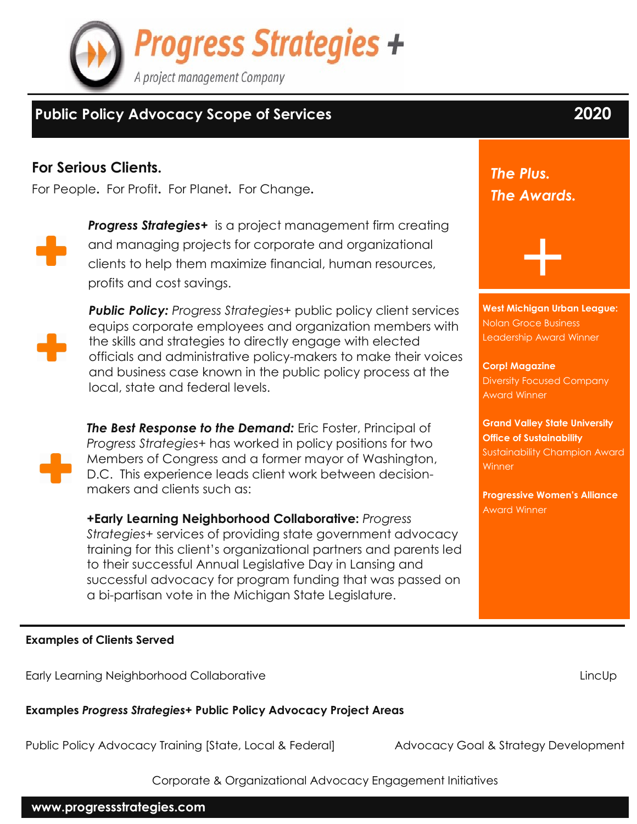

## **Public Policy Advocacy Scope of Services 2020**

#### **For Serious Clients.**

For People**.** For Profit**.** For Planet**.** For Change**.**



*Progress Strategies+* is a project management firm creating and managing projects for corporate and organizational clients to help them maximize financial, human resources, profits and cost savings.



*Public Policy: Progress Strategies+* public policy client services equips corporate employees and organization members with the skills and strategies to directly engage with elected officials and administrative policy-makers to make their voices and business case known in the public policy process at the local, state and federal levels.

*The Best Response to the Demand:* Eric Foster, Principal of *Progress Strategies+* has worked in policy positions for two Members of Congress and a former mayor of Washington, D.C. This experience leads client work between decisionmakers and clients such as:

**+Early Learning Neighborhood Collaborative:** *Progress Strategies+* services of providing state government advocacy training for this client's organizational partners and parents led to their successful Annual Legislative Day in Lansing and successful advocacy for program funding that was passed on a bi-partisan vote in the Michigan State Legislature.

# *The Plus. The Awards.*

**West Michigan Urban League:** Nolan Groce Business Leadership Award Winner

+

**Corp! Magazine** Diversity Focused Company Award Winner

**Grand Valley State University Office of Sustainability** Sustainability Champion Award Winner

**Progressive Women's Alliance** Award Winner

**Examples of Clients Served**

Early Learning Neighborhood Collaborative LincUp

**Examples** *Progress Strategies+* **Public Policy Advocacy Project Areas**

Public Policy Advocacy Training [State, Local & Federal] Advocacy Goal & Strategy Development

Corporate & Organizational Advocacy Engagement Initiatives

**www.progressstrategies.com**